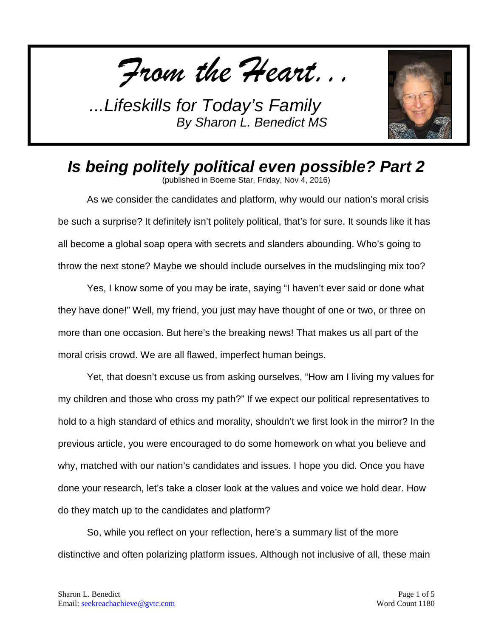*From the Heart...*



## *Is being politely political even possible? Part 2*

(published in Boerne Star, Friday, Nov 4, 2016)

As we consider the candidates and platform, why would our nation's moral crisis be such a surprise? It definitely isn't politely political, that's for sure. It sounds like it has all become a global soap opera with secrets and slanders abounding. Who's going to throw the next stone? Maybe we should include ourselves in the mudslinging mix too?

Yes, I know some of you may be irate, saying "I haven't ever said or done what they have done!" Well, my friend, you just may have thought of one or two, or three on more than one occasion. But here's the breaking news! That makes us all part of the moral crisis crowd. We are all flawed, imperfect human beings.

Yet, that doesn't excuse us from asking ourselves, "How am I living my values for my children and those who cross my path?" If we expect our political representatives to hold to a high standard of ethics and morality, shouldn't we first look in the mirror? In the previous article, you were encouraged to do some homework on what you believe and why, matched with our nation's candidates and issues. I hope you did. Once you have done your research, let's take a closer look at the values and voice we hold dear. How do they match up to the candidates and platform?

So, while you reflect on your reflection, here's a summary list of the more distinctive and often polarizing platform issues. Although not inclusive of all, these main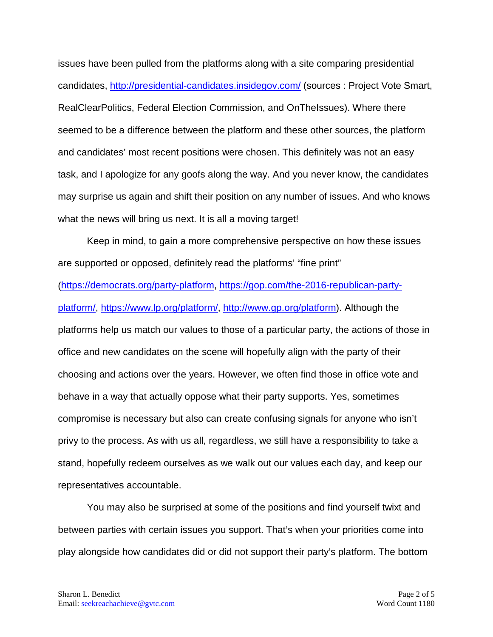issues have been pulled from the platforms along with a site comparing presidential candidates,<http://presidential-candidates.insidegov.com/> (sources : Project Vote Smart, RealClearPolitics, Federal Election Commission, and OnTheIssues). Where there seemed to be a difference between the platform and these other sources, the platform and candidates' most recent positions were chosen. This definitely was not an easy task, and I apologize for any goofs along the way. And you never know, the candidates may surprise us again and shift their position on any number of issues. And who knows what the news will bring us next. It is all a moving target!

Keep in mind, to gain a more comprehensive perspective on how these issues are supported or opposed, definitely read the platforms' "fine print" [\(https://democrats.org/party-platform,](https://democrats.org/party-platform) [https://gop.com/the-2016-republican-party](https://gop.com/the-2016-republican-party-platform/)[platform/,](https://gop.com/the-2016-republican-party-platform/) [https://www.lp.org/platform/,](https://www.lp.org/platform/) [http://www.gp.org/platform\)](http://www.gp.org/platform). Although the platforms help us match our values to those of a particular party, the actions of those in office and new candidates on the scene will hopefully align with the party of their choosing and actions over the years. However, we often find those in office vote and behave in a way that actually oppose what their party supports. Yes, sometimes compromise is necessary but also can create confusing signals for anyone who isn't privy to the process. As with us all, regardless, we still have a responsibility to take a stand, hopefully redeem ourselves as we walk out our values each day, and keep our representatives accountable.

You may also be surprised at some of the positions and find yourself twixt and between parties with certain issues you support. That's when your priorities come into play alongside how candidates did or did not support their party's platform. The bottom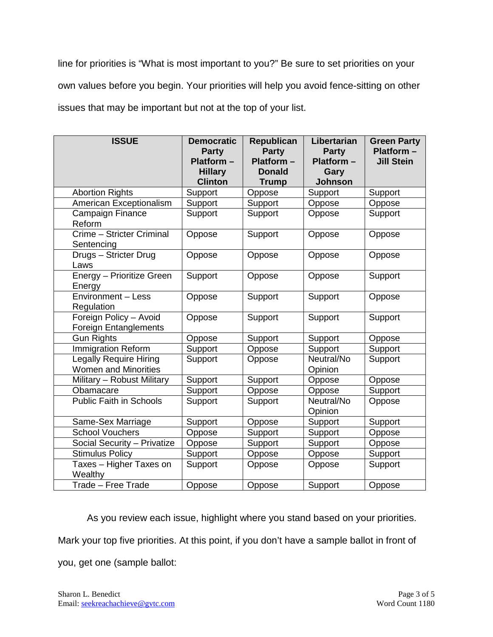line for priorities is "What is most important to you?" Be sure to set priorities on your own values before you begin. Your priorities will help you avoid fence-sitting on other issues that may be important but not at the top of your list.

| <b>ISSUE</b>                                                 | <b>Democratic</b><br><b>Party</b><br>$Platform -$<br><b>Hillary</b><br><b>Clinton</b> | Republican<br><b>Party</b><br>Platform-<br><b>Donald</b><br><b>Trump</b> | Libertarian<br><b>Party</b><br>Platform -<br>Gary<br><b>Johnson</b> | <b>Green Party</b><br>$Platform -$<br><b>Jill Stein</b> |
|--------------------------------------------------------------|---------------------------------------------------------------------------------------|--------------------------------------------------------------------------|---------------------------------------------------------------------|---------------------------------------------------------|
| <b>Abortion Rights</b>                                       | Support                                                                               | Oppose                                                                   | Support                                                             | Support                                                 |
| <b>American Exceptionalism</b>                               | Support                                                                               | Support                                                                  | Oppose                                                              | Oppose                                                  |
| Campaign Finance<br>Reform                                   | Support                                                                               | Support                                                                  | Oppose                                                              | Support                                                 |
| Crime - Stricter Criminal<br>Sentencing                      | Oppose                                                                                | Support                                                                  | Oppose                                                              | Oppose                                                  |
| Drugs - Stricter Drug<br>Laws                                | Oppose                                                                                | Oppose                                                                   | Oppose                                                              | Oppose                                                  |
| <b>Energy - Prioritize Green</b><br>Energy                   | Support                                                                               | Oppose                                                                   | Oppose                                                              | Support                                                 |
| <b>Environment - Less</b><br>Regulation                      | Oppose                                                                                | Support                                                                  | Support                                                             | Oppose                                                  |
| Foreign Policy - Avoid<br><b>Foreign Entanglements</b>       | Oppose                                                                                | Support                                                                  | Support                                                             | Support                                                 |
| <b>Gun Rights</b>                                            | Oppose                                                                                | Support                                                                  | Support                                                             | Oppose                                                  |
| Immigration Reform                                           | Support                                                                               | Oppose                                                                   | Support                                                             | Support                                                 |
| <b>Legally Require Hiring</b><br><b>Women and Minorities</b> | Support                                                                               | Oppose                                                                   | Neutral/No<br>Opinion                                               | Support                                                 |
| Military - Robust Military                                   | Support                                                                               | Support                                                                  | Oppose                                                              | Oppose                                                  |
| Obamacare                                                    | Support                                                                               | Oppose                                                                   | Oppose                                                              | Support                                                 |
| <b>Public Faith in Schools</b>                               | Support                                                                               | Support                                                                  | Neutral/No<br>Opinion                                               | Oppose                                                  |
| Same-Sex Marriage                                            | Support                                                                               | Oppose                                                                   | Support                                                             | Support                                                 |
| <b>School Vouchers</b>                                       | Oppose                                                                                | Support                                                                  | Support                                                             | Oppose                                                  |
| Social Security - Privatize                                  | Oppose                                                                                | Support                                                                  | Support                                                             | Oppose                                                  |
| <b>Stimulus Policy</b>                                       | Support                                                                               | Oppose                                                                   | Oppose                                                              | Support                                                 |
| Taxes - Higher Taxes on<br>Wealthy                           | Support                                                                               | Oppose                                                                   | Oppose                                                              | Support                                                 |
| Trade - Free Trade                                           | Oppose                                                                                | Oppose                                                                   | Support                                                             | Oppose                                                  |

As you review each issue, highlight where you stand based on your priorities.

Mark your top five priorities. At this point, if you don't have a sample ballot in front of

you, get one (sample ballot: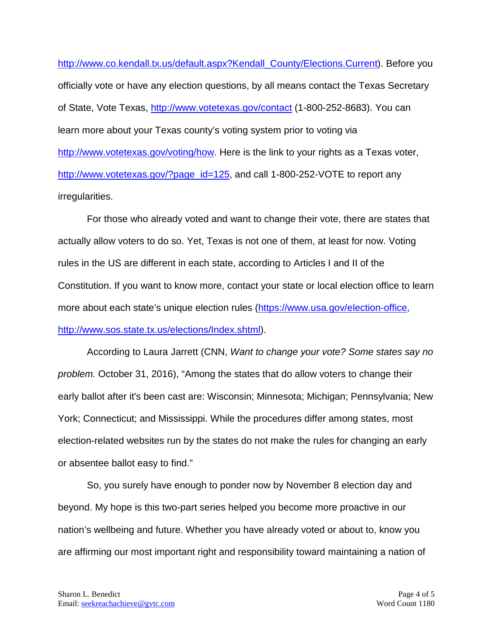[http://www.co.kendall.tx.us/default.aspx?Kendall\\_County/Elections.Current\)](http://www.co.kendall.tx.us/default.aspx?Kendall_County/Elections.Current). Before you officially vote or have any election questions, by all means contact the Texas Secretary of State, Vote Texas,<http://www.votetexas.gov/contact> (1-800-252-8683). You can learn more about your Texas county's voting system prior to voting via [http://www.votetexas.gov/voting/how.](http://www.votetexas.gov/voting/how) Here is the link to your rights as a Texas voter, [http://www.votetexas.gov/?page\\_id=125,](http://www.votetexas.gov/?page_id=125) and call 1-800-252-VOTE to report any irregularities.

For those who already voted and want to change their vote, there are states that actually allow voters to do so. Yet, Texas is not one of them, at least for now. Voting rules in the US are different in each state, according to Articles I and II of the Constitution. If you want to know more, contact your state or local election office to learn more about each state's unique election rules [\(https://www.usa.gov/election-office,](https://www.usa.gov/election-office) [http://www.sos.state.tx.us/elections/Index.shtml\)](http://www.sos.state.tx.us/elections/Index.shtml).

According to Laura Jarrett (CNN, *Want to change your vote? Some states say no problem.* October 31, 2016), "Among the states that do allow voters to change their early ballot after it's been cast are: Wisconsin; Minnesota; Michigan; Pennsylvania; New York; Connecticut; and Mississippi. While the procedures differ among states, most election-related websites run by the states do not make the rules for changing an early or absentee ballot easy to find."

So, you surely have enough to ponder now by November 8 election day and beyond. My hope is this two-part series helped you become more proactive in our nation's wellbeing and future. Whether you have already voted or about to, know you are affirming our most important right and responsibility toward maintaining a nation of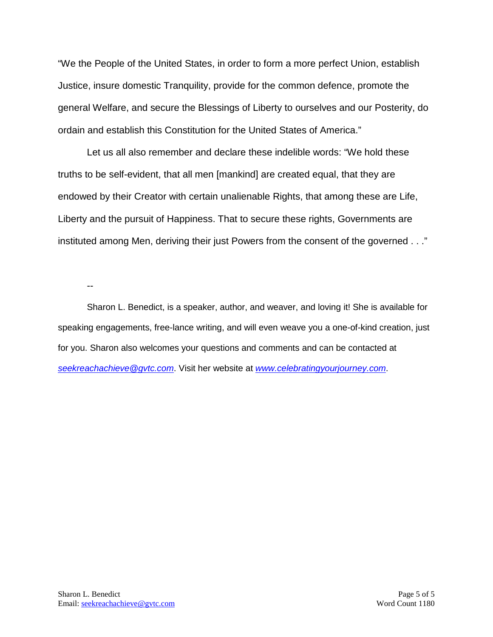"We the People of the United States, in order to form a more perfect Union, establish Justice, insure domestic Tranquility, provide for the common defence, promote the general Welfare, and secure the Blessings of Liberty to ourselves and our Posterity, do ordain and establish this Constitution for the United States of America."

Let us all also remember and declare these indelible words: "We hold these truths to be self-evident, that all men [mankind] are created equal, that they are endowed by their Creator with certain unalienable Rights, that among these are Life, Liberty and the pursuit of Happiness. That to secure these rights, Governments are instituted among Men, deriving their just Powers from the consent of the governed . . ."

--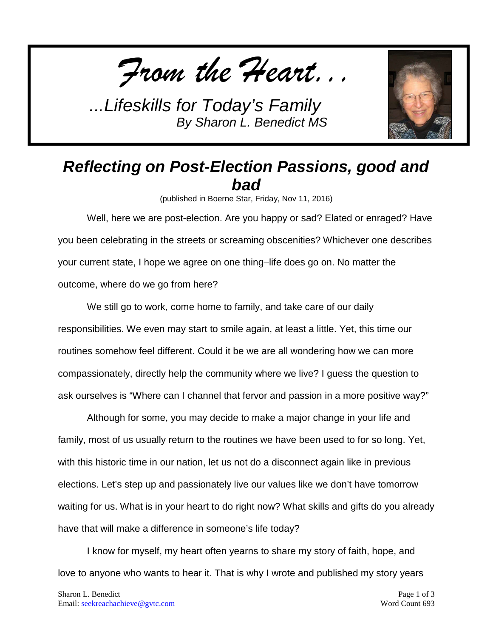*From the Heart...*



## *Reflecting on Post-Election Passions, good and bad*

(published in Boerne Star, Friday, Nov 11, 2016)

Well, here we are post-election. Are you happy or sad? Elated or enraged? Have you been celebrating in the streets or screaming obscenities? Whichever one describes your current state, I hope we agree on one thing–life does go on. No matter the outcome, where do we go from here?

We still go to work, come home to family, and take care of our daily responsibilities. We even may start to smile again, at least a little. Yet, this time our routines somehow feel different. Could it be we are all wondering how we can more compassionately, directly help the community where we live? I guess the question to ask ourselves is "Where can I channel that fervor and passion in a more positive way?"

Although for some, you may decide to make a major change in your life and family, most of us usually return to the routines we have been used to for so long. Yet, with this historic time in our nation, let us not do a disconnect again like in previous elections. Let's step up and passionately live our values like we don't have tomorrow waiting for us. What is in your heart to do right now? What skills and gifts do you already have that will make a difference in someone's life today?

I know for myself, my heart often yearns to share my story of faith, hope, and love to anyone who wants to hear it. That is why I wrote and published my story years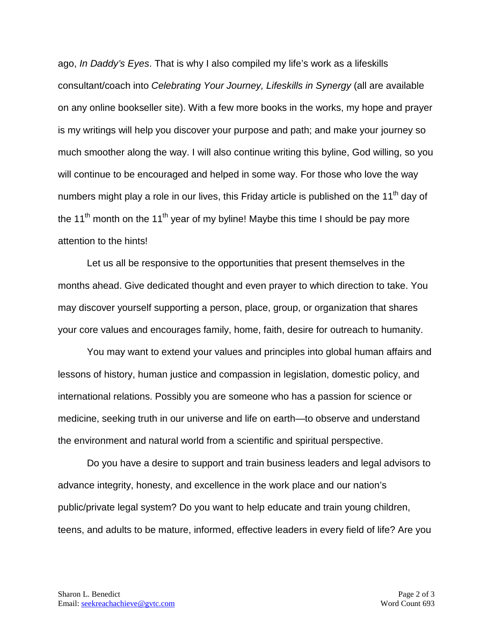ago, *In Daddy's Eyes*. That is why I also compiled my life's work as a lifeskills consultant/coach into *Celebrating Your Journey, Lifeskills in Synergy* (all are available on any online bookseller site). With a few more books in the works, my hope and prayer is my writings will help you discover your purpose and path; and make your journey so much smoother along the way. I will also continue writing this byline, God willing, so you will continue to be encouraged and helped in some way. For those who love the way numbers might play a role in our lives, this Friday article is published on the  $11<sup>th</sup>$  day of the 11<sup>th</sup> month on the 11<sup>th</sup> year of my byline! Maybe this time I should be pay more attention to the hints!

Let us all be responsive to the opportunities that present themselves in the months ahead. Give dedicated thought and even prayer to which direction to take. You may discover yourself supporting a person, place, group, or organization that shares your core values and encourages family, home, faith, desire for outreach to humanity.

You may want to extend your values and principles into global human affairs and lessons of history, human justice and compassion in legislation, domestic policy, and international relations. Possibly you are someone who has a passion for science or medicine, seeking truth in our universe and life on earth—to observe and understand the environment and natural world from a scientific and spiritual perspective.

Do you have a desire to support and train business leaders and legal advisors to advance integrity, honesty, and excellence in the work place and our nation's public/private legal system? Do you want to help educate and train young children, teens, and adults to be mature, informed, effective leaders in every field of life? Are you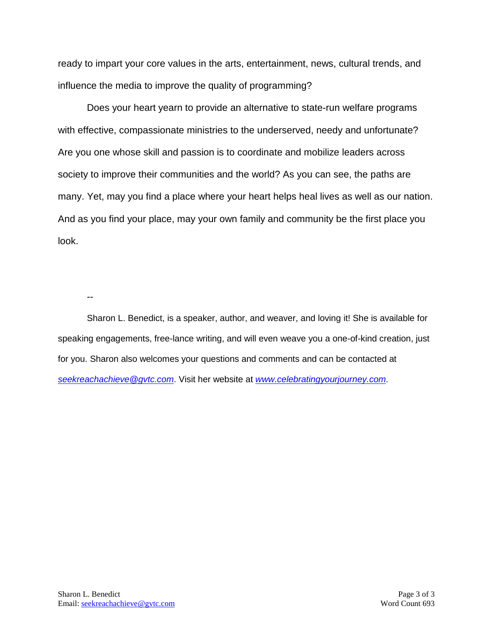ready to impart your core values in the arts, entertainment, news, cultural trends, and influence the media to improve the quality of programming?

Does your heart yearn to provide an alternative to state-run welfare programs with effective, compassionate ministries to the underserved, needy and unfortunate? Are you one whose skill and passion is to coordinate and mobilize leaders across society to improve their communities and the world? As you can see, the paths are many. Yet, may you find a place where your heart helps heal lives as well as our nation. And as you find your place, may your own family and community be the first place you look.

--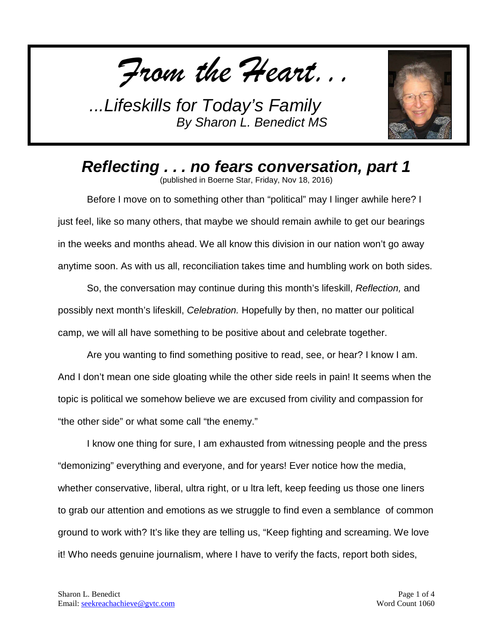*From the Heart...*



*Reflecting . . . no fears conversation, part 1* (published in Boerne Star, Friday, Nov 18, 2016)

Before I move on to something other than "political" may I linger awhile here? I just feel, like so many others, that maybe we should remain awhile to get our bearings in the weeks and months ahead. We all know this division in our nation won't go away anytime soon. As with us all, reconciliation takes time and humbling work on both sides.

So, the conversation may continue during this month's lifeskill, *Reflection,* and possibly next month's lifeskill, *Celebration.* Hopefully by then, no matter our political camp, we will all have something to be positive about and celebrate together.

Are you wanting to find something positive to read, see, or hear? I know I am. And I don't mean one side gloating while the other side reels in pain! It seems when the topic is political we somehow believe we are excused from civility and compassion for "the other side" or what some call "the enemy."

I know one thing for sure, I am exhausted from witnessing people and the press "demonizing" everything and everyone, and for years! Ever notice how the media, whether conservative, liberal, ultra right, or u ltra left, keep feeding us those one liners to grab our attention and emotions as we struggle to find even a semblance of common ground to work with? It's like they are telling us, "Keep fighting and screaming. We love it! Who needs genuine journalism, where I have to verify the facts, report both sides,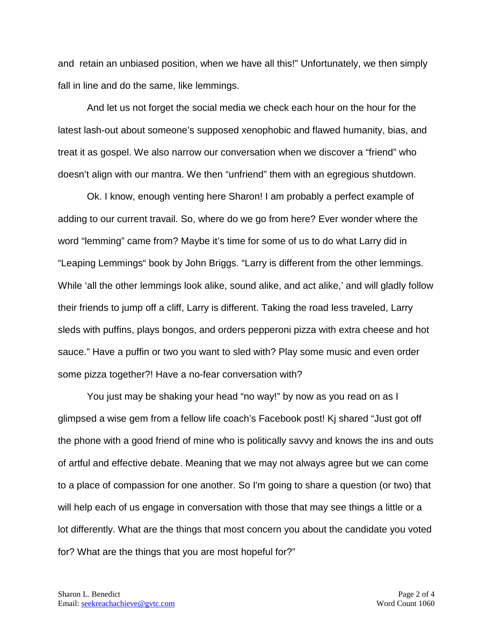and retain an unbiased position, when we have all this!" Unfortunately, we then simply fall in line and do the same, like lemmings.

And let us not forget the social media we check each hour on the hour for the latest lash-out about someone's supposed xenophobic and flawed humanity, bias, and treat it as gospel. We also narrow our conversation when we discover a "friend" who doesn't align with our mantra. We then "unfriend" them with an egregious shutdown.

Ok. I know, enough venting here Sharon! I am probably a perfect example of adding to our current travail. So, where do we go from here? Ever wonder where the word "lemming" came from? Maybe it's time for some of us to do what Larry did in "Leaping Lemmings" book by John Briggs. "Larry is different from the other lemmings. While 'all the other lemmings look alike, sound alike, and act alike,' and will gladly follow their friends to jump off a cliff, Larry is different. Taking the road less traveled, Larry sleds with puffins, plays bongos, and orders pepperoni pizza with extra cheese and hot sauce." Have a puffin or two you want to sled with? Play some music and even order some pizza together?! Have a no-fear conversation with?

You just may be shaking your head "no way!" by now as you read on as I glimpsed a wise gem from a fellow life coach's Facebook post! Kj shared "Just got off the phone with a good friend of mine who is politically savvy and knows the ins and outs of artful and effective debate. Meaning that we may not always agree but we can come to a place of compassion for one another. So I'm going to share a question (or two) that will help each of us engage in conversation with those that may see things a little or a lot differently. What are the things that most concern you about the candidate you voted for? What are the things that you are most hopeful for?"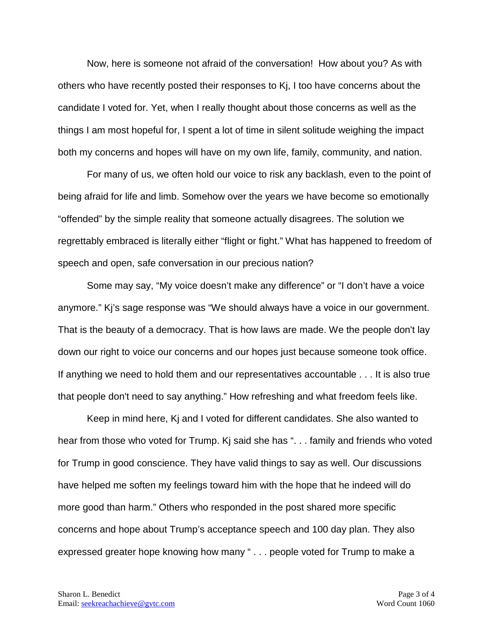Now, here is someone not afraid of the conversation! How about you? As with others who have recently posted their responses to Kj, I too have concerns about the candidate I voted for. Yet, when I really thought about those concerns as well as the things I am most hopeful for, I spent a lot of time in silent solitude weighing the impact both my concerns and hopes will have on my own life, family, community, and nation.

For many of us, we often hold our voice to risk any backlash, even to the point of being afraid for life and limb. Somehow over the years we have become so emotionally "offended" by the simple reality that someone actually disagrees. The solution we regrettably embraced is literally either "flight or fight." What has happened to freedom of speech and open, safe conversation in our precious nation?

Some may say, "My voice doesn't make any difference" or "I don't have a voice anymore." Kj's sage response was "We should always have a voice in our government. That is the beauty of a democracy. That is how laws are made. We the people don't lay down our right to voice our concerns and our hopes just because someone took office. If anything we need to hold them and our representatives accountable . . . It is also true that people don't need to say anything." How refreshing and what freedom feels like.

Keep in mind here, Kj and I voted for different candidates. She also wanted to hear from those who voted for Trump. Kj said she has ". . . family and friends who voted for Trump in good conscience. They have valid things to say as well. Our discussions have helped me soften my feelings toward him with the hope that he indeed will do more good than harm." Others who responded in the post shared more specific concerns and hope about Trump's acceptance speech and 100 day plan. They also expressed greater hope knowing how many " . . . people voted for Trump to make a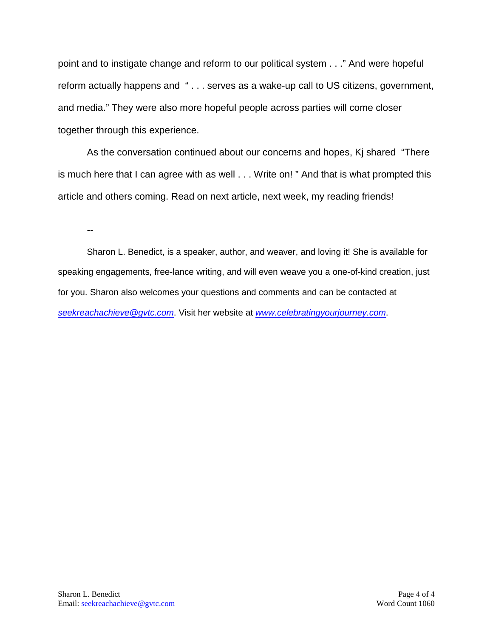point and to instigate change and reform to our political system . . ." And were hopeful reform actually happens and " . . . serves as a wake-up call to US citizens, government, and media." They were also more hopeful people across parties will come closer together through this experience.

As the conversation continued about our concerns and hopes, Kj shared "There is much here that I can agree with as well . . . Write on! " And that is what prompted this article and others coming. Read on next article, next week, my reading friends!

--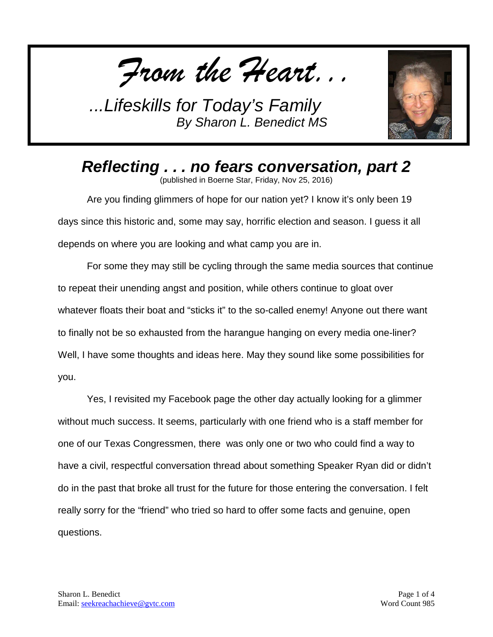*From the Heart...*



*Reflecting . . . no fears conversation, part 2* (published in Boerne Star, Friday, Nov 25, 2016)

Are you finding glimmers of hope for our nation yet? I know it's only been 19 days since this historic and, some may say, horrific election and season. I guess it all depends on where you are looking and what camp you are in.

For some they may still be cycling through the same media sources that continue to repeat their unending angst and position, while others continue to gloat over whatever floats their boat and "sticks it" to the so-called enemy! Anyone out there want to finally not be so exhausted from the harangue hanging on every media one-liner? Well, I have some thoughts and ideas here. May they sound like some possibilities for you.

Yes, I revisited my Facebook page the other day actually looking for a glimmer without much success. It seems, particularly with one friend who is a staff member for one of our Texas Congressmen, there was only one or two who could find a way to have a civil, respectful conversation thread about something Speaker Ryan did or didn't do in the past that broke all trust for the future for those entering the conversation. I felt really sorry for the "friend" who tried so hard to offer some facts and genuine, open questions.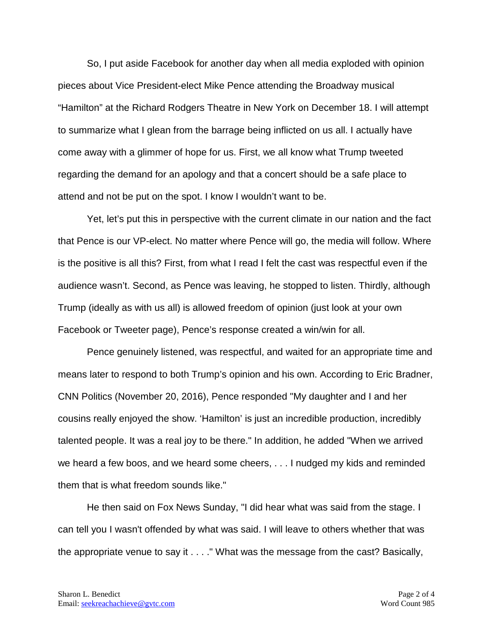So, I put aside Facebook for another day when all media exploded with opinion pieces about Vice President-elect Mike Pence attending the Broadway musical "Hamilton" at the Richard Rodgers Theatre in New York on December 18. I will attempt to summarize what I glean from the barrage being inflicted on us all. I actually have come away with a glimmer of hope for us. First, we all know what Trump tweeted regarding the demand for an apology and that a concert should be a safe place to attend and not be put on the spot. I know I wouldn't want to be.

Yet, let's put this in perspective with the current climate in our nation and the fact that Pence is our VP-elect. No matter where Pence will go, the media will follow. Where is the positive is all this? First, from what I read I felt the cast was respectful even if the audience wasn't. Second, as Pence was leaving, he stopped to listen. Thirdly, although Trump (ideally as with us all) is allowed freedom of opinion (just look at your own Facebook or Tweeter page), Pence's response created a win/win for all.

Pence genuinely listened, was respectful, and waited for an appropriate time and means later to respond to both Trump's opinion and his own. According to Eric Bradner, CNN Politics (November 20, 2016), Pence responded "My daughter and I and her cousins really enjoyed the show. 'Hamilton' is just an incredible production, incredibly talented people. It was a real joy to be there." In addition, he added "When we arrived we heard a few boos, and we heard some cheers, . . . I nudged my kids and reminded them that is what freedom sounds like."

He then said on Fox News Sunday, "I did hear what was said from the stage. I can tell you I wasn't offended by what was said. I will leave to others whether that was the appropriate venue to say it . . . ." What was the message from the cast? Basically,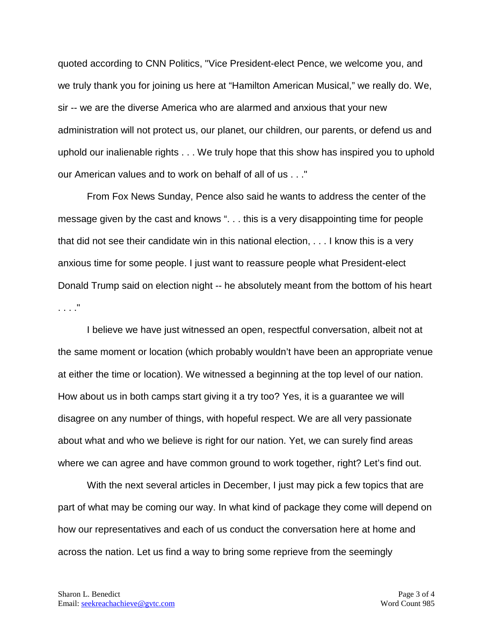quoted according to CNN Politics, "Vice President-elect Pence, we welcome you, and we truly thank you for joining us here at "Hamilton American Musical," we really do. We, sir -- we are the diverse America who are alarmed and anxious that your new administration will not protect us, our planet, our children, our parents, or defend us and uphold our inalienable rights . . . We truly hope that this show has inspired you to uphold our American values and to work on behalf of all of us . . ."

From Fox News Sunday, Pence also said he wants to address the center of the message given by the cast and knows ". . . this is a very disappointing time for people that did not see their candidate win in this national election, . . . I know this is a very anxious time for some people. I just want to reassure people what President-elect Donald Trump said on election night -- he absolutely meant from the bottom of his heart . . . ."

I believe we have just witnessed an open, respectful conversation, albeit not at the same moment or location (which probably wouldn't have been an appropriate venue at either the time or location). We witnessed a beginning at the top level of our nation. How about us in both camps start giving it a try too? Yes, it is a guarantee we will disagree on any number of things, with hopeful respect. We are all very passionate about what and who we believe is right for our nation. Yet, we can surely find areas where we can agree and have common ground to work together, right? Let's find out.

With the next several articles in December, I just may pick a few topics that are part of what may be coming our way. In what kind of package they come will depend on how our representatives and each of us conduct the conversation here at home and across the nation. Let us find a way to bring some reprieve from the seemingly